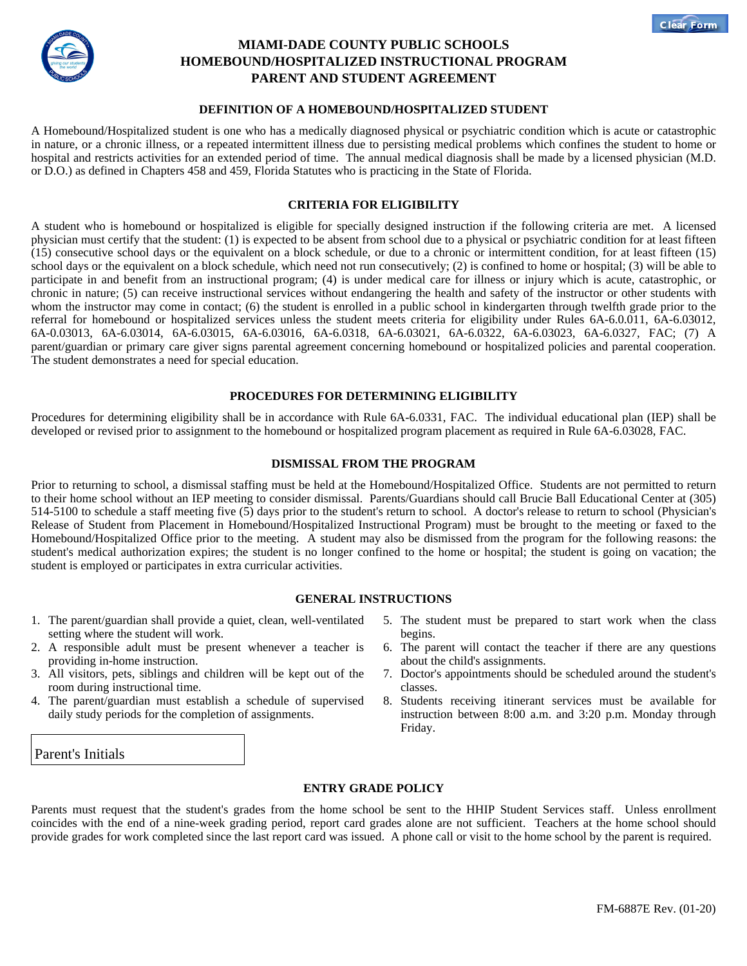



# **MIAMI-DADE COUNTY PUBLIC SCHOOLS HOMEBOUND/HOSPITALIZED INSTRUCTIONAL PROGRAM PARENT AND STUDENT AGREEMENT**

## **DEFINITION OF A HOMEBOUND/HOSPITALIZED STUDENT**

A Homebound/Hospitalized student is one who has a medically diagnosed physical or psychiatric condition which is acute or catastrophic in nature, or a chronic illness, or a repeated intermittent illness due to persisting medical problems which confines the student to home or hospital and restricts activities for an extended period of time. The annual medical diagnosis shall be made by a licensed physician (M.D. or D.O.) as defined in Chapters 458 and 459, Florida Statutes who is practicing in the State of Florida.

## **CRITERIA FOR ELIGIBILITY**

A student who is homebound or hospitalized is eligible for specially designed instruction if the following criteria are met. A licensed physician must certify that the student: (1) is expected to be absent from school due to a physical or psychiatric condition for at least fifteen (15) consecutive school days or the equivalent on a block schedule, or due to a chronic or intermittent condition, for at least fifteen (15) school days or the equivalent on a block schedule, which need not run consecutively; (2) is confined to home or hospital; (3) will be able to participate in and benefit from an instructional program; (4) is under medical care for illness or injury which is acute, catastrophic, or chronic in nature; (5) can receive instructional services without endangering the health and safety of the instructor or other students with whom the instructor may come in contact; (6) the student is enrolled in a public school in kindergarten through twelfth grade prior to the referral for homebound or hospitalized services unless the student meets criteria for eligibility under Rules 6A-6.0.011, 6A-6.03012, 6A-0.03013, 6A-6.03014, 6A-6.03015, 6A-6.03016, 6A-6.0318, 6A-6.03021, 6A-6.0322, 6A-6.03023, 6A-6.0327, FAC; (7) A parent/guardian or primary care giver signs parental agreement concerning homebound or hospitalized policies and parental cooperation. The student demonstrates a need for special education.

## **PROCEDURES FOR DETERMINING ELIGIBILITY**

Procedures for determining eligibility shall be in accordance with Rule 6A-6.0331, FAC. The individual educational plan (IEP) shall be developed or revised prior to assignment to the homebound or hospitalized program placement as required in Rule 6A-6.03028, FAC.

## **DISMISSAL FROM THE PROGRAM**

Prior to returning to school, a dismissal staffing must be held at the Homebound/Hospitalized Office. Students are not permitted to return to their home school without an IEP meeting to consider dismissal. Parents/Guardians should call Brucie Ball Educational Center at (305) 514-5100 to schedule a staff meeting five (5) days prior to the student's return to school. A doctor's release to return to school (Physician's Release of Student from Placement in Homebound/Hospitalized Instructional Program) must be brought to the meeting or faxed to the Homebound/Hospitalized Office prior to the meeting. A student may also be dismissed from the program for the following reasons: the student's medical authorization expires; the student is no longer confined to the home or hospital; the student is going on vacation; the student is employed or participates in extra curricular activities.

### **GENERAL INSTRUCTIONS**

- 1. The parent/guardian shall provide a quiet, clean, well-ventilated setting where the student will work.
- 2. A responsible adult must be present whenever a teacher is providing in-home instruction.
- 3. All visitors, pets, siblings and children will be kept out of the room during instructional time.
- 4. The parent/guardian must establish a schedule of supervised daily study periods for the completion of assignments.

## 5. The student must be prepared to start work when the class begins.

- 6. The parent will contact the teacher if there are any questions about the child's assignments.
- 7. Doctor's appointments should be scheduled around the student's classes.
- 8. Students receiving itinerant services must be available for instruction between 8:00 a.m. and 3:20 p.m. Monday through Friday.

### Parent's Initials

## **ENTRY GRADE POLICY**

Parents must request that the student's grades from the home school be sent to the HHIP Student Services staff. Unless enrollment coincides with the end of a nine-week grading period, report card grades alone are not sufficient. Teachers at the home school should provide grades for work completed since the last report card was issued. A phone call or visit to the home school by the parent is required.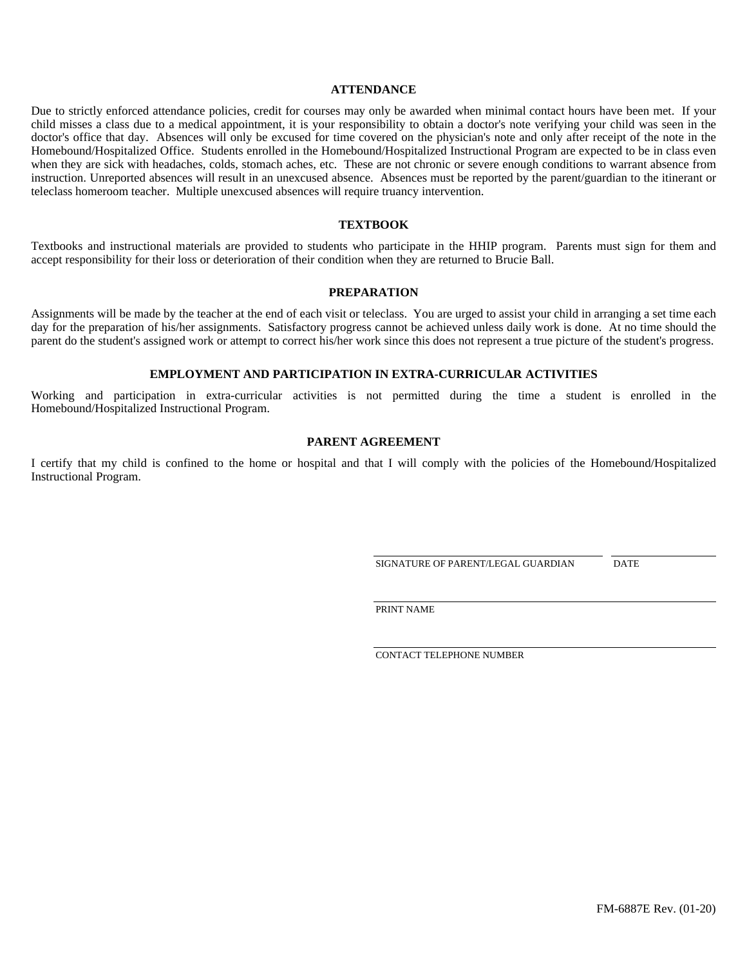#### **ATTENDANCE**

Due to strictly enforced attendance policies, credit for courses may only be awarded when minimal contact hours have been met. If your child misses a class due to a medical appointment, it is your responsibility to obtain a doctor's note verifying your child was seen in the doctor's office that day. Absences will only be excused for time covered on the physician's note and only after receipt of the note in the Homebound/Hospitalized Office. Students enrolled in the Homebound/Hospitalized Instructional Program are expected to be in class even when they are sick with headaches, colds, stomach aches, etc. These are not chronic or severe enough conditions to warrant absence from instruction. Unreported absences will result in an unexcused absence. Absences must be reported by the parent/guardian to the itinerant or teleclass homeroom teacher. Multiple unexcused absences will require truancy intervention.

#### **TEXTBOOK**

Textbooks and instructional materials are provided to students who participate in the HHIP program. Parents must sign for them and accept responsibility for their loss or deterioration of their condition when they are returned to Brucie Ball.

#### **PREPARATION**

Assignments will be made by the teacher at the end of each visit or teleclass. You are urged to assist your child in arranging a set time each day for the preparation of his/her assignments. Satisfactory progress cannot be achieved unless daily work is done. At no time should the parent do the student's assigned work or attempt to correct his/her work since this does not represent a true picture of the student's progress.

#### **EMPLOYMENT AND PARTICIPATION IN EXTRA-CURRICULAR ACTIVITIES**

Working and participation in extra-curricular activities is not permitted during the time a student is enrolled in the Homebound/Hospitalized Instructional Program.

## **PARENT AGREEMENT**

I certify that my child is confined to the home or hospital and that I will comply with the policies of the Homebound/Hospitalized Instructional Program.

SIGNATURE OF PARENT/LEGAL GUARDIAN DATE

PRINT NAME

CONTACT TELEPHONE NUMBER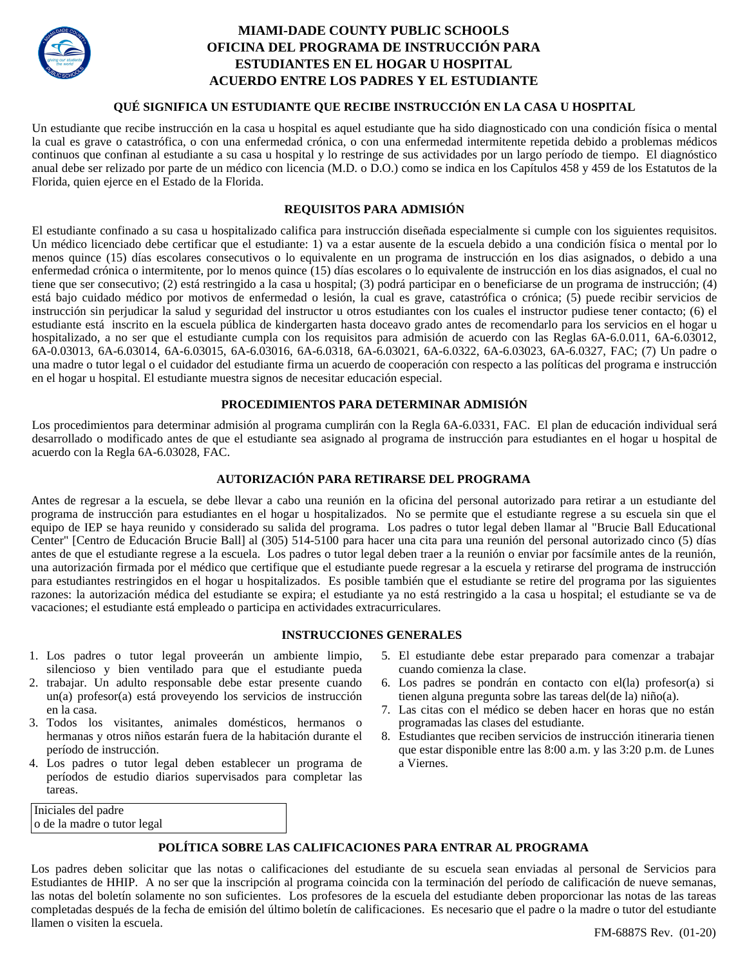

# **MIAMI-DADE COUNTY PUBLIC SCHOOLS OFICINA DEL PROGRAMA DE INSTRUCCIÓN PARA ESTUDIANTES EN EL HOGAR U HOSPITAL ACUERDO ENTRE LOS PADRES Y EL ESTUDIANTE**

## **QUÉ SIGNIFICA UN ESTUDIANTE QUE RECIBE INSTRUCCIÓN EN LA CASA U HOSPITAL**

Un estudiante que recibe instrucción en la casa u hospital es aquel estudiante que ha sido diagnosticado con una condición física o mental la cual es grave o catastrófica, o con una enfermedad crónica, o con una enfermedad intermitente repetida debido a problemas médicos continuos que confinan al estudiante a su casa u hospital y lo restringe de sus actividades por un largo período de tiempo. El diagnóstico anual debe ser relizado por parte de un médico con licencia (M.D. o D.O.) como se indica en los Capítulos 458 y 459 de los Estatutos de la Florida, quien ejerce en el Estado de la Florida.

# **REQUISITOS PARA ADMISIÓN**

El estudiante confinado a su casa u hospitalizado califica para instrucción diseñada especialmente si cumple con los siguientes requisitos. Un médico licenciado debe certificar que el estudiante: 1) va a estar ausente de la escuela debido a una condición física o mental por lo menos quince (15) días escolares consecutivos o lo equivalente en un programa de instrucción en los dias asignados, o debido a una enfermedad crónica o intermitente, por lo menos quince (15) días escolares o lo equivalente de instrucción en los dias asignados, el cual no tiene que ser consecutivo; (2) está restringido a la casa u hospital; (3) podrá participar en o beneficiarse de un programa de instrucción; (4) está bajo cuidado médico por motivos de enfermedad o lesión, la cual es grave, catastrófica o crónica; (5) puede recibir servicios de instrucción sin perjudicar la salud y seguridad del instructor u otros estudiantes con los cuales el instructor pudiese tener contacto; (6) el estudiante está inscrito en la escuela pública de kindergarten hasta doceavo grado antes de recomendarlo para los servicios en el hogar u hospitalizado, a no ser que el estudiante cumpla con los requisitos para admisión de acuerdo con las Reglas 6A-6.0.011, 6A-6.03012, 6A-0.03013, 6A-6.03014, 6A-6.03015, 6A-6.03016, 6A-6.0318, 6A-6.03021, 6A-6.0322, 6A-6.03023, 6A-6.0327, FAC; (7) Un padre o una madre o tutor legal o el cuidador del estudiante firma un acuerdo de cooperación con respecto a las políticas del programa e instrucción en el hogar u hospital. El estudiante muestra signos de necesitar educación especial.

# **PROCEDIMIENTOS PARA DETERMINAR ADMISIÓN**

Los procedimientos para determinar admisión al programa cumplirán con la Regla 6A-6.0331, FAC. El plan de educación individual será desarrollado o modificado antes de que el estudiante sea asignado al programa de instrucción para estudiantes en el hogar u hospital de acuerdo con la Regla 6A-6.03028, FAC.

# **AUTORIZACIÓN PARA RETIRARSE DEL PROGRAMA**

Antes de regresar a la escuela, se debe llevar a cabo una reunión en la oficina del personal autorizado para retirar a un estudiante del programa de instrucción para estudiantes en el hogar u hospitalizados. No se permite que el estudiante regrese a su escuela sin que el equipo de IEP se haya reunido y considerado su salida del programa. Los padres o tutor legal deben llamar al "Brucie Ball Educational Center" [Centro de Educación Brucie Ball] al (305) 514-5100 para hacer una cita para una reunión del personal autorizado cinco (5) días antes de que el estudiante regrese a la escuela. Los padres o tutor legal deben traer a la reunión o enviar por facsímile antes de la reunión, una autorización firmada por el médico que certifique que el estudiante puede regresar a la escuela y retirarse del programa de instrucción para estudiantes restringidos en el hogar u hospitalizados. Es posible también que el estudiante se retire del programa por las siguientes razones: la autorización médica del estudiante se expira; el estudiante ya no está restringido a la casa u hospital; el estudiante se va de vacaciones; el estudiante está empleado o participa en actividades extracurriculares.

### **INSTRUCCIONES GENERALES**

- 1. Los padres o tutor legal proveerán un ambiente limpio, silencioso y bien ventilado para que el estudiante pueda
- 2. trabajar. Un adulto responsable debe estar presente cuando un(a) profesor(a) está proveyendo los servicios de instrucción en la casa.
- 3. Todos los visitantes, animales domésticos, hermanos o hermanas y otros niños estarán fuera de la habitación durante el período de instrucción.
- 4. Los padres o tutor legal deben establecer un programa de períodos de estudio diarios supervisados para completar las tareas.

 Iniciales del padre o de la madre o tutor legal

- 5. El estudiante debe estar preparado para comenzar a trabajar cuando comienza la clase.
- 6. Los padres se pondrán en contacto con el(la) profesor(a) si tienen alguna pregunta sobre las tareas del(de la) niño(a).
- 7. Las citas con el médico se deben hacer en horas que no están programadas las clases del estudiante.
- 8. Estudiantes que reciben servicios de instrucción itineraria tienen que estar disponible entre las 8:00 a.m. y las 3:20 p.m. de Lunes a Viernes.

### **POLÍTICA SOBRE LAS CALIFICACIONES PARA ENTRAR AL PROGRAMA**

Los padres deben solicitar que las notas o calificaciones del estudiante de su escuela sean enviadas al personal de Servicios para Estudiantes de HHIP. A no ser que la inscripción al programa coincida con la terminación del período de calificación de nueve semanas, las notas del boletín solamente no son suficientes. Los profesores de la escuela del estudiante deben proporcionar las notas de las tareas completadas después de la fecha de emisión del último boletín de calificaciones. Es necesario que el padre o la madre o tutor del estudiante llamen o visiten la escuela.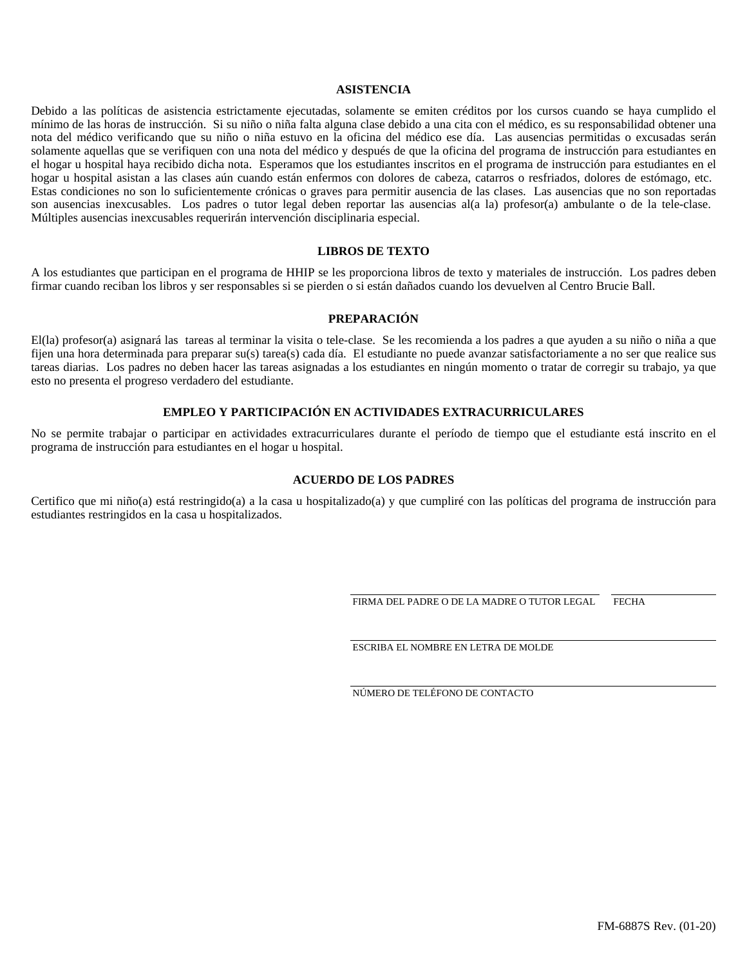## **ASISTENCIA**

Debido a las políticas de asistencia estrictamente ejecutadas, solamente se emiten créditos por los cursos cuando se haya cumplido el mínimo de las horas de instrucción. Si su niño o niña falta alguna clase debido a una cita con el médico, es su responsabilidad obtener una nota del médico verificando que su niño o niña estuvo en la oficina del médico ese día. Las ausencias permitidas o excusadas serán solamente aquellas que se verifiquen con una nota del médico y después de que la oficina del programa de instrucción para estudiantes en el hogar u hospital haya recibido dicha nota. Esperamos que los estudiantes inscritos en el programa de instrucción para estudiantes en el hogar u hospital asistan a las clases aún cuando están enfermos con dolores de cabeza, catarros o resfriados, dolores de estómago, etc. Estas condiciones no son lo suficientemente crónicas o graves para permitir ausencia de las clases. Las ausencias que no son reportadas son ausencias inexcusables. Los padres o tutor legal deben reportar las ausencias al(a la) profesor(a) ambulante o de la tele-clase. Múltiples ausencias inexcusables requerirán intervención disciplinaria especial.

#### **LIBROS DE TEXTO**

A los estudiantes que participan en el programa de HHIP se les proporciona libros de texto y materiales de instrucción. Los padres deben firmar cuando reciban los libros y ser responsables si se pierden o si están dañados cuando los devuelven al Centro Brucie Ball.

## **PREPARACIÓN**

El(la) profesor(a) asignará las tareas al terminar la visita o tele-clase. Se les recomienda a los padres a que ayuden a su niño o niña a que fijen una hora determinada para preparar su(s) tarea(s) cada día. El estudiante no puede avanzar satisfactoriamente a no ser que realice sus tareas diarias. Los padres no deben hacer las tareas asignadas a los estudiantes en ningún momento o tratar de corregir su trabajo, ya que esto no presenta el progreso verdadero del estudiante.

#### **EMPLEO Y PARTICIPACIÓN EN ACTIVIDADES EXTRACURRICULARES**

No se permite trabajar o participar en actividades extracurriculares durante el período de tiempo que el estudiante está inscrito en el programa de instrucción para estudiantes en el hogar u hospital.

#### **ACUERDO DE LOS PADRES**

Certifico que mi niño(a) está restringido(a) a la casa u hospitalizado(a) y que cumpliré con las políticas del programa de instrucción para estudiantes restringidos en la casa u hospitalizados.

FIRMA DEL PADRE O DE LA MADRE O TUTOR LEGAL FECHA

ESCRIBA EL NOMBRE EN LETRA DE MOLDE

NÚMERO DE TELÉFONO DE CONTACTO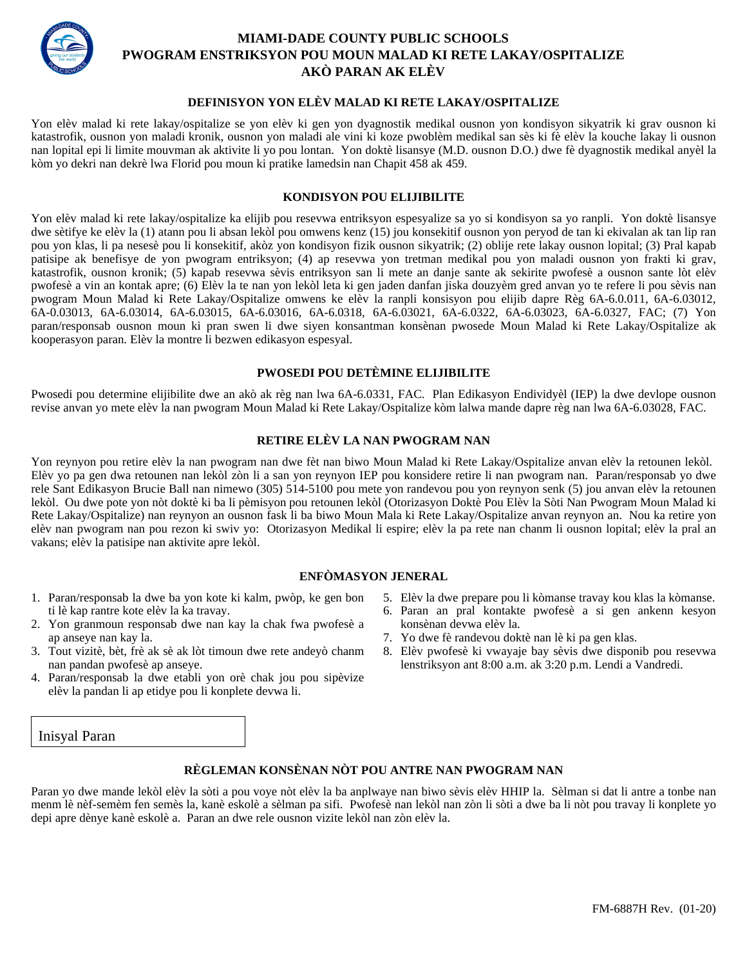

# **MIAMI-DADE COUNTY PUBLIC SCHOOLS PWOGRAM ENSTRIKSYON POU MOUN MALAD KI RETE LAKAY/OSPITALIZE AKÒ PARAN AK ELÈV**

# **DEFINISYON YON ELÈV MALAD KI RETE LAKAY/OSPITALIZE**

Yon elèv malad ki rete lakay/ospitalize se yon elèv ki gen yon dyagnostik medikal ousnon yon kondisyon sikyatrik ki grav ousnon ki katastrofik, ousnon yon maladi kronik, ousnon yon maladi ale vini ki koze pwoblèm medikal san sès ki fè elèv la kouche lakay li ousnon nan lopital epi li limite mouvman ak aktivite li yo pou lontan. Yon doktè lisansye (M.D. ousnon D.O.) dwe fè dyagnostik medikal anyèl la kòm yo dekri nan dekrè lwa Florid pou moun ki pratike lamedsin nan Chapit 458 ak 459.

#### **KONDISYON POU ELIJIBILITE**

Yon elèv malad ki rete lakay/ospitalize ka elijib pou resevwa entriksyon espesyalize sa yo si kondisyon sa yo ranpli. Yon doktè lisansye dwe sètifye ke elèv la (1) atann pou li absan lekòl pou omwens kenz (15) jou konsekitif ousnon yon peryod de tan ki ekivalan ak tan lip ran pou yon klas, li pa nesesè pou li konsekitif, akòz yon kondisyon fizik ousnon sikyatrik; (2) oblije rete lakay ousnon lopital; (3) Pral kapab patisipe ak benefisye de yon pwogram entriksyon; (4) ap resevwa yon tretman medikal pou yon maladi ousnon yon frakti ki grav, katastrofik, ousnon kronik; (5) kapab resevwa sèvis entriksyon san li mete an danje sante ak sekirite pwofesè a ousnon sante lòt elèv pwofesè a vin an kontak apre; (6) Elèv la te nan yon lekòl leta ki gen jaden danfan jiska douzyèm gred anvan yo te refere li pou sèvis nan pwogram Moun Malad ki Rete Lakay/Ospitalize omwens ke elèv la ranpli konsisyon pou elijib dapre Règ 6A-6.0.011, 6A-6.03012, 6A-0.03013, 6A-6.03014, 6A-6.03015, 6A-6.03016, 6A-6.0318, 6A-6.03021, 6A-6.0322, 6A-6.03023, 6A-6.0327, FAC; (7) Yon paran/responsab ousnon moun ki pran swen li dwe siyen konsantman konsènan pwosede Moun Malad ki Rete Lakay/Ospitalize ak kooperasyon paran. Elèv la montre li bezwen edikasyon espesyal.

## **PWOSEDI POU DETÈMINE ELIJIBILITE**

Pwosedi pou determine elijibilite dwe an akò ak règ nan lwa 6A-6.0331, FAC. Plan Edikasyon Endividyèl (IEP) la dwe devlope ousnon revise anvan yo mete elèv la nan pwogram Moun Malad ki Rete Lakay/Ospitalize kòm lalwa mande dapre règ nan lwa 6A-6.03028, FAC.

## **RETIRE ELÈV LA NAN PWOGRAM NAN**

Yon reynyon pou retire elèv la nan pwogram nan dwe fèt nan biwo Moun Malad ki Rete Lakay/Ospitalize anvan elèv la retounen lekòl. Elèv yo pa gen dwa retounen nan lekòl zòn li a san yon reynyon IEP pou konsidere retire li nan pwogram nan. Paran/responsab yo dwe rele Sant Edikasyon Brucie Ball nan nimewo (305) 514-5100 pou mete yon randevou pou yon reynyon senk (5) jou anvan elèv la retounen lekòl. Ou dwe pote yon nòt doktè ki ba li pèmisyon pou retounen lekòl (Otorizasyon Doktè Pou Elèv la Sòti Nan Pwogram Moun Malad ki Rete Lakay/Ospitalize) nan reynyon an ousnon fask li ba biwo Moun Mala ki Rete Lakay/Ospitalize anvan reynyon an. Nou ka retire yon elèv nan pwogram nan pou rezon ki swiv yo: Otorizasyon Medikal li espire; elèv la pa rete nan chanm li ousnon lopital; elèv la pral an vakans; elèv la patisipe nan aktivite apre lekòl.

#### **ENFÒMASYON JENERAL**

- 1. Paran/responsab la dwe ba yon kote ki kalm, pwòp, ke gen bon ti lè kap rantre kote elèv la ka travay.
- 2. Yon granmoun responsab dwe nan kay la chak fwa pwofesè a ap anseye nan kay la.
- 3. Tout vizitè, bèt, frè ak sè ak lòt timoun dwe rete andeyò chanm nan pandan pwofesè ap anseye.
- 4. Paran/responsab la dwe etabli yon orè chak jou pou sipèvize elèv la pandan li ap etidye pou li konplete devwa li.

## Inisyal Paran

# 5. Elèv la dwe prepare pou li kòmanse travay kou klas la kòmanse.

- 6. Paran an pral kontakte pwofesè a si gen ankenn kesyon konsènan devwa elèv la.
- 7. Yo dwe fè randevou doktè nan lè ki pa gen klas.
- 8. Elèv pwofesè ki vwayaje bay sèvis dwe disponib pou resevwa lenstriksyon ant 8:00 a.m. ak 3:20 p.m. Lendi a Vandredi.

# **RÈGLEMAN KONSÈNAN NÒT POU ANTRE NAN PWOGRAM NAN**

Paran yo dwe mande lekòl elèv la sòti a pou voye nòt elèv la ba anplwaye nan biwo sèvis elèv HHIP la. Sèlman si dat li antre a tonbe nan menm lè nèf-semèm fen semès la, kanè eskolè a sèlman pa sifi. Pwofesè nan lekòl nan zòn li sòti a dwe ba li nòt pou travay li konplete yo depi apre dènye kanè eskolè a. Paran an dwe rele ousnon vizite lekòl nan zòn elèv la.